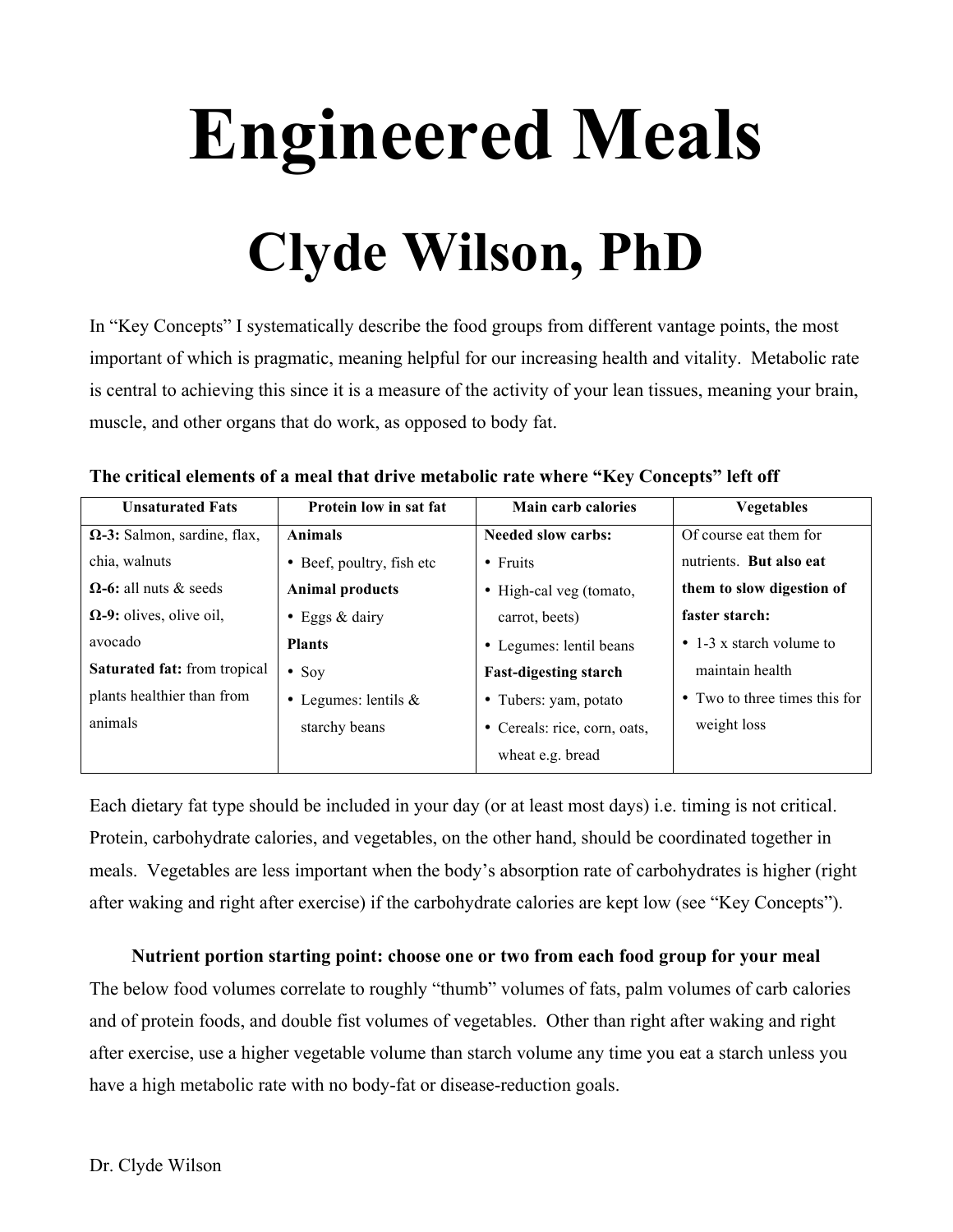# **Engineered Meals Clyde Wilson, PhD**

In "Key Concepts" I systematically describe the food groups from different vantage points, the most important of which is pragmatic, meaning helpful for our increasing health and vitality. Metabolic rate is central to achieving this since it is a measure of the activity of your lean tissues, meaning your brain, muscle, and other organs that do work, as opposed to body fat.

| THE CHUCAL CIUDENTS OF A HIGAL MAC QUIVE HIGADOIIE FAIL WHELE THEY CONCEPTS. TELEVIL |                           |                              |                                |  |
|--------------------------------------------------------------------------------------|---------------------------|------------------------------|--------------------------------|--|
| <b>Unsaturated Fats</b>                                                              | Protein low in sat fat    | <b>Main carb calories</b>    | <b>Vegetables</b>              |  |
| $\Omega$ -3: Salmon, sardine, flax,                                                  | <b>Animals</b>            | <b>Needed slow carbs:</b>    | Of course eat them for         |  |
| chia, walnuts                                                                        | • Beef, poultry, fish etc | $\bullet$ Fruits             | nutrients. But also eat        |  |
| $\Omega$ -6: all nuts & seeds                                                        | <b>Animal products</b>    | • High-cal veg (tomato,      | them to slow digestion of      |  |
| $\Omega$ -9: olives, olive oil,                                                      | • Eggs $&$ dairy          | carrot, beets)               | faster starch:                 |  |
| avocado                                                                              | <b>Plants</b>             | • Legumes: lentil beans      | $\cdot$ 1-3 x starch volume to |  |
| Saturated fat: from tropical                                                         | $\bullet$ Soy             | <b>Fast-digesting starch</b> | maintain health                |  |
| plants healthier than from                                                           | • Legumes: lentils $&$    | • Tubers: yam, potato        | • Two to three times this for  |  |

**The critical elements of a meal that drive metabolic rate where "Key Concepts" left off**

starchy beans

Each dietary fat type should be included in your day (or at least most days) i.e. timing is not critical. Protein, carbohydrate calories, and vegetables, on the other hand, should be coordinated together in meals. Vegetables are less important when the body's absorption rate of carbohydrates is higher (right after waking and right after exercise) if the carbohydrate calories are kept low (see "Key Concepts").

• Cereals: rice, corn, oats,

weight loss

wheat e.g. bread

#### **Nutrient portion starting point: choose one or two from each food group for your meal**

The below food volumes correlate to roughly "thumb" volumes of fats, palm volumes of carb calories and of protein foods, and double fist volumes of vegetables. Other than right after waking and right after exercise, use a higher vegetable volume than starch volume any time you eat a starch unless you have a high metabolic rate with no body-fat or disease-reduction goals.

animals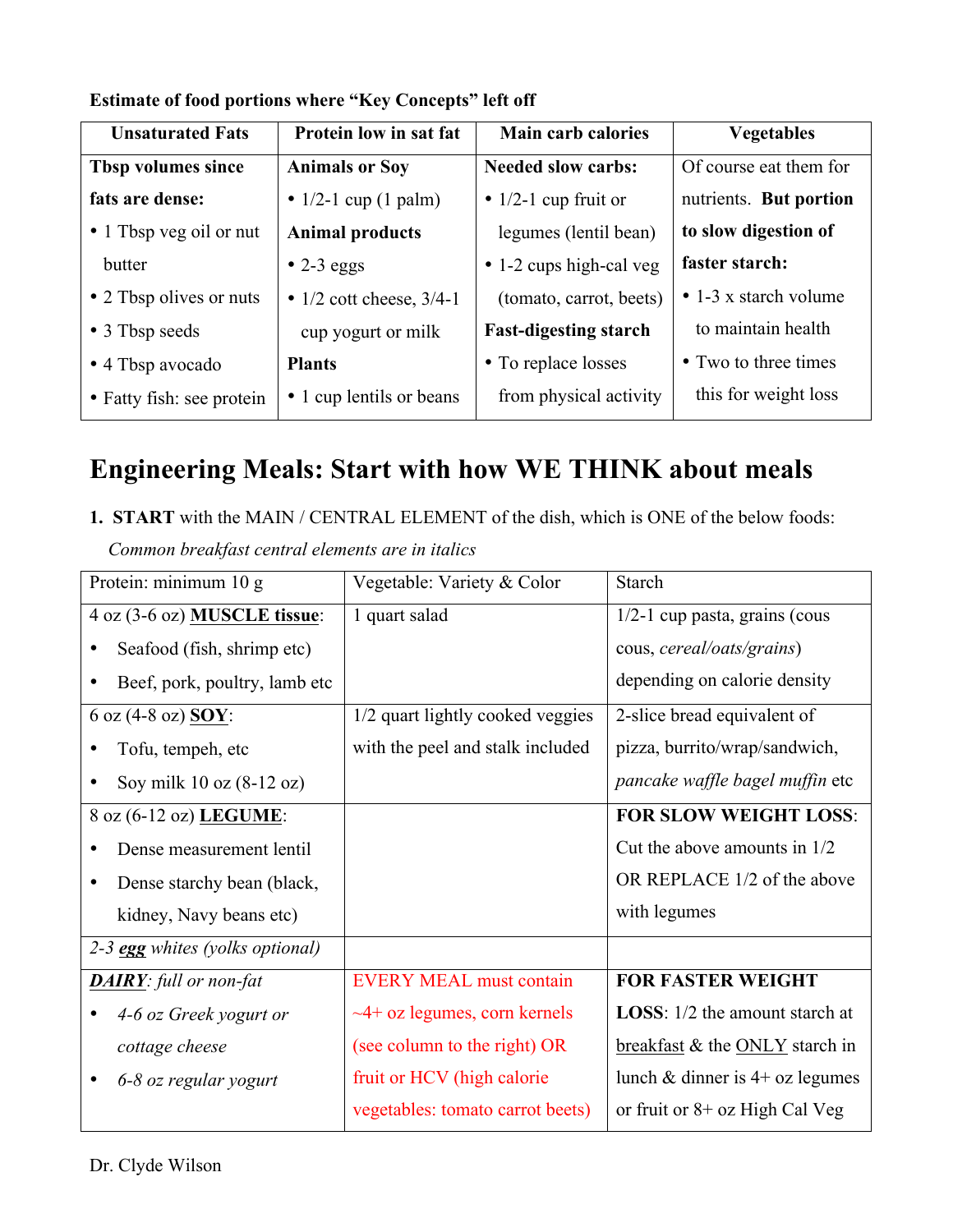| <b>Unsaturated Fats</b>   | Protein low in sat fat       | <b>Main carb calories</b>    | <b>Vegetables</b>             |
|---------------------------|------------------------------|------------------------------|-------------------------------|
| Tbsp volumes since        | <b>Animals or Soy</b>        | <b>Needed slow carbs:</b>    | Of course eat them for        |
| fats are dense:           | • $1/2-1$ cup (1 palm)       | • $1/2$ -1 cup fruit or      | nutrients. But portion        |
| • 1 Tbsp veg oil or nut   | <b>Animal products</b>       | legumes (lentil bean)        | to slow digestion of          |
| butter                    | $\bullet$ 2-3 eggs           | • 1-2 cups high-cal veg      | faster starch:                |
| • 2 Tbsp olives or nuts   | • $1/2$ cott cheese, $3/4-1$ | (tomato, carrot, beets)      | $\bullet$ 1-3 x starch volume |
| • 3 Tbsp seeds            | cup yogurt or milk           | <b>Fast-digesting starch</b> | to maintain health            |
| • 4 Tbsp avocado          | <b>Plants</b>                | • To replace losses          | • Two to three times          |
| • Fatty fish: see protein | • 1 cup lentils or beans     | from physical activity       | this for weight loss          |

## **Estimate of food portions where "Key Concepts" left off**

# **Engineering Meals: Start with how WE THINK about meals**

**1. START** with the MAIN / CENTRAL ELEMENT of the dish, which is ONE of the below foods:  *Common breakfast central elements are in italics* 

| Protein: minimum 10 g                   | Vegetable: Variety & Color         | <b>Starch</b>                          |
|-----------------------------------------|------------------------------------|----------------------------------------|
| 4 oz (3-6 oz) MUSCLE tissue:            | 1 quart salad                      | 1/2-1 cup pasta, grains (cous          |
| Seafood (fish, shrimp etc)              |                                    | cous, cereal/oats/grains)              |
| Beef, pork, poultry, lamb etc           |                                    | depending on calorie density           |
| 6 oz (4-8 oz) <b>SOY</b> :              | 1/2 quart lightly cooked veggies   | 2-slice bread equivalent of            |
| Tofu, tempeh, etc                       | with the peel and stalk included   | pizza, burrito/wrap/sandwich,          |
| Soy milk $10$ oz $(8-12)$ oz)           |                                    | pancake waffle bagel muffin etc        |
| 8 oz (6-12 oz) LEGUME:                  |                                    | <b>FOR SLOW WEIGHT LOSS:</b>           |
| Dense measurement lentil                |                                    | Cut the above amounts in $1/2$         |
| Dense starchy bean (black,<br>$\bullet$ |                                    | OR REPLACE 1/2 of the above            |
| kidney, Navy beans etc)                 |                                    | with legumes                           |
| 2-3 egg whites (yolks optional)         |                                    |                                        |
| <b>DAIRY</b> : full or non-fat          | <b>EVERY MEAL must contain</b>     | <b>FOR FASTER WEIGHT</b>               |
| 4-6 oz Greek yogurt or                  | $\sim$ 4+ oz legumes, corn kernels | <b>LOSS</b> : 1/2 the amount starch at |
| cottage cheese                          | (see column to the right) OR       | breakfast & the ONLY starch in         |
| 6-8 oz regular yogurt                   | fruit or HCV (high calorie)        | lunch & dinner is $4+$ oz legumes      |
|                                         | vegetables: tomato carrot beets)   | or fruit or $8+$ oz High Cal Veg       |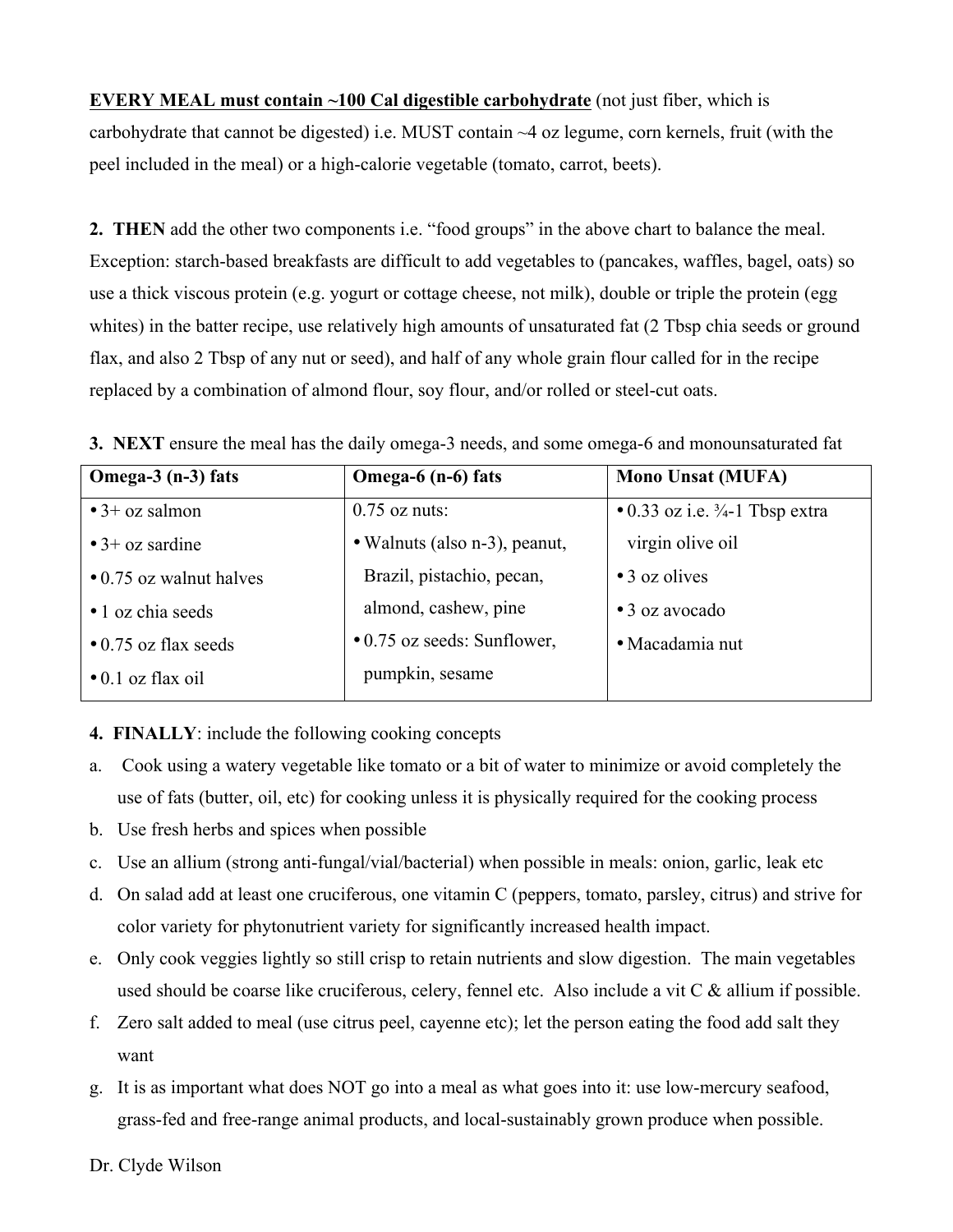**EVERY MEAL must contain ~100 Cal digestible carbohydrate** (not just fiber, which is carbohydrate that cannot be digested) i.e. MUST contain ~4 oz legume, corn kernels, fruit (with the peel included in the meal) or a high-calorie vegetable (tomato, carrot, beets).

**2. THEN** add the other two components i.e. "food groups" in the above chart to balance the meal. Exception: starch-based breakfasts are difficult to add vegetables to (pancakes, waffles, bagel, oats) so use a thick viscous protein (e.g. yogurt or cottage cheese, not milk), double or triple the protein (egg whites) in the batter recipe, use relatively high amounts of unsaturated fat (2 Tbsp chia seeds or ground flax, and also 2 Tbsp of any nut or seed), and half of any whole grain flour called for in the recipe replaced by a combination of almond flour, soy flour, and/or rolled or steel-cut oats.

| Omega- $3$ (n- $3$ ) fats     | Omega-6 (n-6) fats                  | <b>Mono Unsat (MUFA)</b>                           |
|-------------------------------|-------------------------------------|----------------------------------------------------|
| $\bullet$ 3+ oz salmon        | $0.75$ oz nuts:                     | $\bullet$ 0.33 oz i.e. $\frac{3}{4}$ -1 Tbsp extra |
| $\bullet$ 3+ oz sardine       | • Walnuts (also n-3), peanut,       | virgin olive oil                                   |
| $\cdot$ 0.75 oz walnut halves | Brazil, pistachio, pecan,           | $\bullet$ 3 oz olives                              |
| • 1 oz chia seeds             | almond, cashew, pine                | $\bullet$ 3 oz avocado                             |
| $\bullet$ 0.75 oz flax seeds  | $\bullet$ 0.75 oz seeds: Sunflower, | • Macadamia nut                                    |
| $\bullet$ 0.1 oz flax oil     | pumpkin, sesame                     |                                                    |

**3. NEXT** ensure the meal has the daily omega-3 needs, and some omega-6 and monounsaturated fat

## **4. FINALLY**: include the following cooking concepts

- a. Cook using a watery vegetable like tomato or a bit of water to minimize or avoid completely the use of fats (butter, oil, etc) for cooking unless it is physically required for the cooking process
- b. Use fresh herbs and spices when possible
- c. Use an allium (strong anti-fungal/vial/bacterial) when possible in meals: onion, garlic, leak etc
- d. On salad add at least one cruciferous, one vitamin C (peppers, tomato, parsley, citrus) and strive for color variety for phytonutrient variety for significantly increased health impact.
- e. Only cook veggies lightly so still crisp to retain nutrients and slow digestion. The main vegetables used should be coarse like cruciferous, celery, fennel etc. Also include a vit C & allium if possible.
- f. Zero salt added to meal (use citrus peel, cayenne etc); let the person eating the food add salt they want
- g. It is as important what does NOT go into a meal as what goes into it: use low-mercury seafood, grass-fed and free-range animal products, and local-sustainably grown produce when possible.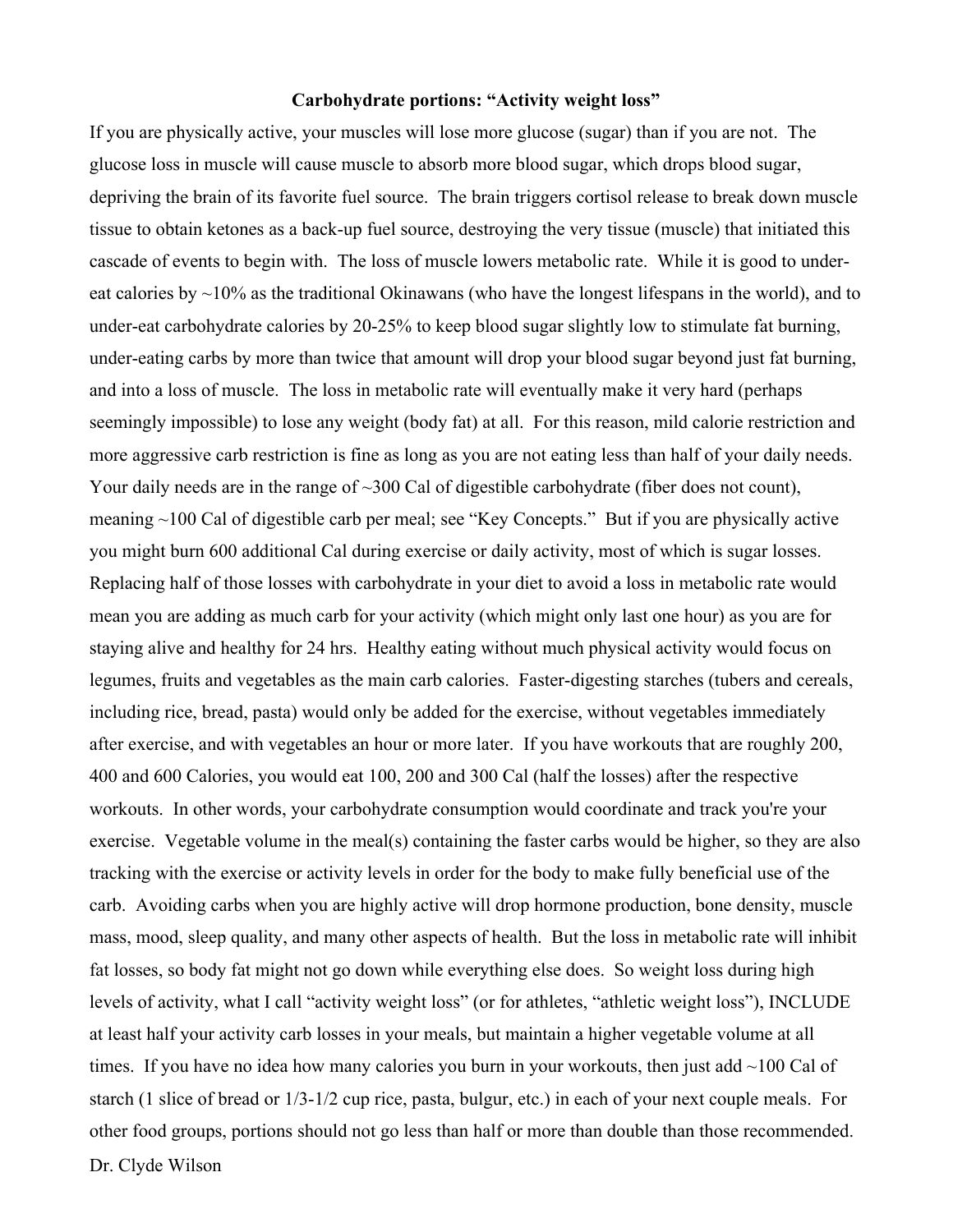#### **Carbohydrate portions: "Activity weight loss"**

Dr. Clyde Wilson If you are physically active, your muscles will lose more glucose (sugar) than if you are not. The glucose loss in muscle will cause muscle to absorb more blood sugar, which drops blood sugar, depriving the brain of its favorite fuel source. The brain triggers cortisol release to break down muscle tissue to obtain ketones as a back-up fuel source, destroying the very tissue (muscle) that initiated this cascade of events to begin with. The loss of muscle lowers metabolic rate. While it is good to undereat calories by  $\sim$ 10% as the traditional Okinawans (who have the longest lifespans in the world), and to under-eat carbohydrate calories by 20-25% to keep blood sugar slightly low to stimulate fat burning, under-eating carbs by more than twice that amount will drop your blood sugar beyond just fat burning, and into a loss of muscle. The loss in metabolic rate will eventually make it very hard (perhaps seemingly impossible) to lose any weight (body fat) at all. For this reason, mild calorie restriction and more aggressive carb restriction is fine as long as you are not eating less than half of your daily needs. Your daily needs are in the range of ~300 Cal of digestible carbohydrate (fiber does not count), meaning ~100 Cal of digestible carb per meal; see "Key Concepts." But if you are physically active you might burn 600 additional Cal during exercise or daily activity, most of which is sugar losses. Replacing half of those losses with carbohydrate in your diet to avoid a loss in metabolic rate would mean you are adding as much carb for your activity (which might only last one hour) as you are for staying alive and healthy for 24 hrs. Healthy eating without much physical activity would focus on legumes, fruits and vegetables as the main carb calories. Faster-digesting starches (tubers and cereals, including rice, bread, pasta) would only be added for the exercise, without vegetables immediately after exercise, and with vegetables an hour or more later. If you have workouts that are roughly 200, 400 and 600 Calories, you would eat 100, 200 and 300 Cal (half the losses) after the respective workouts. In other words, your carbohydrate consumption would coordinate and track you're your exercise. Vegetable volume in the meal(s) containing the faster carbs would be higher, so they are also tracking with the exercise or activity levels in order for the body to make fully beneficial use of the carb. Avoiding carbs when you are highly active will drop hormone production, bone density, muscle mass, mood, sleep quality, and many other aspects of health. But the loss in metabolic rate will inhibit fat losses, so body fat might not go down while everything else does. So weight loss during high levels of activity, what I call "activity weight loss" (or for athletes, "athletic weight loss"), INCLUDE at least half your activity carb losses in your meals, but maintain a higher vegetable volume at all times. If you have no idea how many calories you burn in your workouts, then just add  $\sim$ 100 Cal of starch (1 slice of bread or 1/3-1/2 cup rice, pasta, bulgur, etc.) in each of your next couple meals. For other food groups, portions should not go less than half or more than double than those recommended.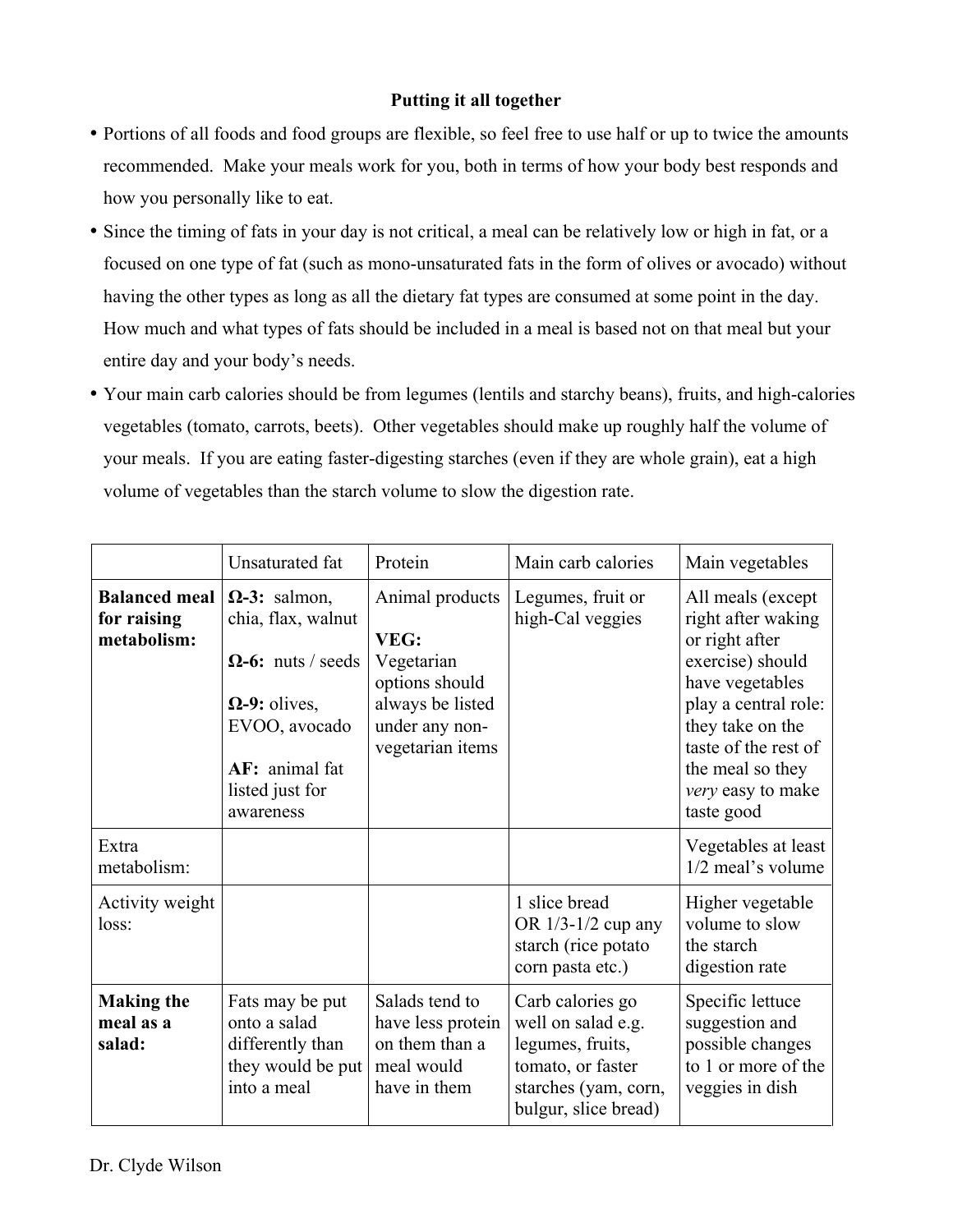#### **Putting it all together**

- Portions of all foods and food groups are flexible, so feel free to use half or up to twice the amounts recommended. Make your meals work for you, both in terms of how your body best responds and how you personally like to eat.
- Since the timing of fats in your day is not critical, a meal can be relatively low or high in fat, or a focused on one type of fat (such as mono-unsaturated fats in the form of olives or avocado) without having the other types as long as all the dietary fat types are consumed at some point in the day. How much and what types of fats should be included in a meal is based not on that meal but your entire day and your body's needs.
- Your main carb calories should be from legumes (lentils and starchy beans), fruits, and high-calories vegetables (tomato, carrots, beets). Other vegetables should make up roughly half the volume of your meals. If you are eating faster-digesting starches (even if they are whole grain), eat a high volume of vegetables than the starch volume to slow the digestion rate.

|                                                    | Unsaturated fat                                                                                                                                                    | Protein                                                                                                           | Main carb calories                                                                                                              | Main vegetables                                                                                                                                                                                                             |
|----------------------------------------------------|--------------------------------------------------------------------------------------------------------------------------------------------------------------------|-------------------------------------------------------------------------------------------------------------------|---------------------------------------------------------------------------------------------------------------------------------|-----------------------------------------------------------------------------------------------------------------------------------------------------------------------------------------------------------------------------|
| <b>Balanced meal</b><br>for raising<br>metabolism: | $\Omega$ -3: salmon,<br>chia, flax, walnut<br>$\Omega$ -6: nuts / seeds<br>$\Omega$ -9: olives,<br>EVOO, avocado<br>AF: animal fat<br>listed just for<br>awareness | Animal products<br>VEG:<br>Vegetarian<br>options should<br>always be listed<br>under any non-<br>vegetarian items | Legumes, fruit or<br>high-Cal veggies                                                                                           | All meals (except<br>right after waking<br>or right after<br>exercise) should<br>have vegetables<br>play a central role:<br>they take on the<br>taste of the rest of<br>the meal so they<br>very easy to make<br>taste good |
| Extra<br>metabolism:                               |                                                                                                                                                                    |                                                                                                                   |                                                                                                                                 | Vegetables at least<br>1/2 meal's volume                                                                                                                                                                                    |
| Activity weight<br>loss:                           |                                                                                                                                                                    |                                                                                                                   | 1 slice bread<br>OR 1/3-1/2 cup any<br>starch (rice potato<br>corn pasta etc.)                                                  | Higher vegetable<br>volume to slow<br>the starch<br>digestion rate                                                                                                                                                          |
| <b>Making the</b><br>meal as a<br>salad:           | Fats may be put<br>onto a salad<br>differently than<br>they would be put<br>into a meal                                                                            | Salads tend to<br>have less protein<br>on them than a<br>meal would<br>have in them                               | Carb calories go<br>well on salad e.g.<br>legumes, fruits,<br>tomato, or faster<br>starches (yam, corn,<br>bulgur, slice bread) | Specific lettuce<br>suggestion and<br>possible changes<br>to 1 or more of the<br>veggies in dish                                                                                                                            |